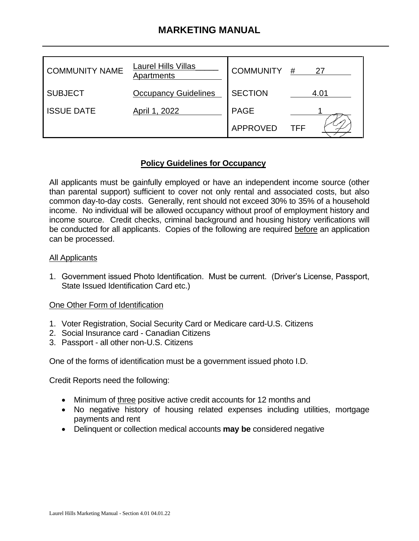# **MARKETING MANUAL**

| <b>COMMUNITY NAME</b> | <b>Laurel Hills Villas</b><br>Apartments | <b>COMMUNITY</b> | #<br>27 |
|-----------------------|------------------------------------------|------------------|---------|
| <b>SUBJECT</b>        | <b>Occupancy Guidelines</b>              | <b>SECTION</b>   | 4.01    |
| <b>ISSUE DATE</b>     | April 1, 2022                            | <b>PAGE</b>      |         |
|                       |                                          | APPROVED         | TFF     |

### **Policy Guidelines for Occupancy**

All applicants must be gainfully employed or have an independent income source (other than parental support) sufficient to cover not only rental and associated costs, but also common day-to-day costs. Generally, rent should not exceed 30% to 35% of a household income. No individual will be allowed occupancy without proof of employment history and income source. Credit checks, criminal background and housing history verifications will be conducted for all applicants. Copies of the following are required before an application can be processed.

### All Applicants

1. Government issued Photo Identification. Must be current. (Driver's License, Passport, State Issued Identification Card etc.)

### One Other Form of Identification

- 1. Voter Registration, Social Security Card or Medicare card-U.S. Citizens
- 2. Social Insurance card Canadian Citizens
- 3. Passport all other non-U.S. Citizens

One of the forms of identification must be a government issued photo I.D.

Credit Reports need the following:

- Minimum of three positive active credit accounts for 12 months and
- No negative history of housing related expenses including utilities, mortgage payments and rent
- Delinquent or collection medical accounts **may be** considered negative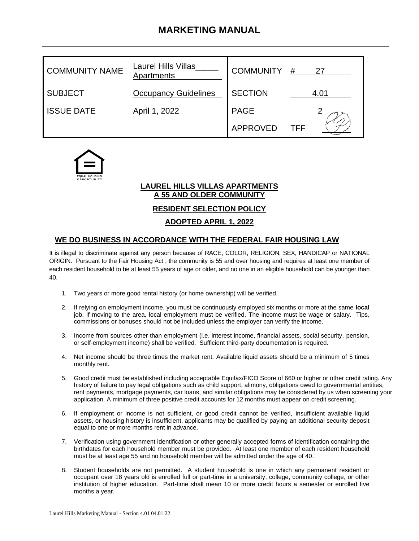# **MARKETING MANUAL**

| <b>COMMUNITY NAME</b> | <b>Laurel Hills Villas</b><br>Apartments | COMMUNITY #    | 27         |
|-----------------------|------------------------------------------|----------------|------------|
| <b>SUBJECT</b>        | <b>Occupancy Guidelines</b>              | <b>SECTION</b> | 4.01       |
| <b>ISSUE DATE</b>     | April 1, 2022                            | <b>PAGE</b>    |            |
|                       |                                          | APPROVED       | <b>TFF</b> |



#### **LAUREL HILLS VILLAS APARTMENTS A 55 AND OLDER COMMUNITY**

**RESIDENT SELECTION POLICY**

### **ADOPTED APRIL 1, 2022**

### **WE DO BUSINESS IN ACCORDANCE WITH THE FEDERAL FAIR HOUSING LAW**

It is illegal to discriminate against any person because of RACE, COLOR, RELIGION, SEX, HANDICAP or NATIONAL ORIGIN. Pursuant to the Fair Housing Act , the community is 55 and over housing and requires at least one member of each resident household to be at least 55 years of age or older, and no one in an eligible household can be younger than 40.

- 1. Two years or more good rental history (or home ownership) will be verified.
- 2. If relying on employment income, you must be continuously employed six months or more at the same **local** job. If moving to the area, local employment must be verified. The income must be wage or salary. Tips, commissions or bonuses should not be included unless the employer can verify the income.
- 3. Income from sources other than employment (i.e. interest income, financial assets, social security, pension, or self-employment income) shall be verified. Sufficient third-party documentation is required.
- 4. Net income should be three times the market rent. Available liquid assets should be a minimum of 5 times monthly rent.
- 5. Good credit must be established including acceptable Equifax/FICO Score of 660 or higher or other credit rating. Any history of failure to pay legal obligations such as child support, alimony, obligations owed to governmental entities, rent payments, mortgage payments, car loans, and similar obligations may be considered by us when screening your application. A minimum of three positive credit accounts for 12 months must appear on credit screening.
- 6. If employment or income is not sufficient, or good credit cannot be verified, insufficient available liquid assets, or housing history is insufficient, applicants may be qualified by paying an additional security deposit equal to one or more months rent in advance.
- 7. Verification using government identification or other generally accepted forms of identification containing the birthdates for each household member must be provided. At least one member of each resident household must be at least age 55 and no household member will be admitted under the age of 40.
- 8. Student households are not permitted. A student household is one in which any permanent resident or occupant over 18 years old is enrolled full or part-time in a university, college, community college, or other institution of higher education. Part-time shall mean 10 or more credit hours a semester or enrolled five months a year.